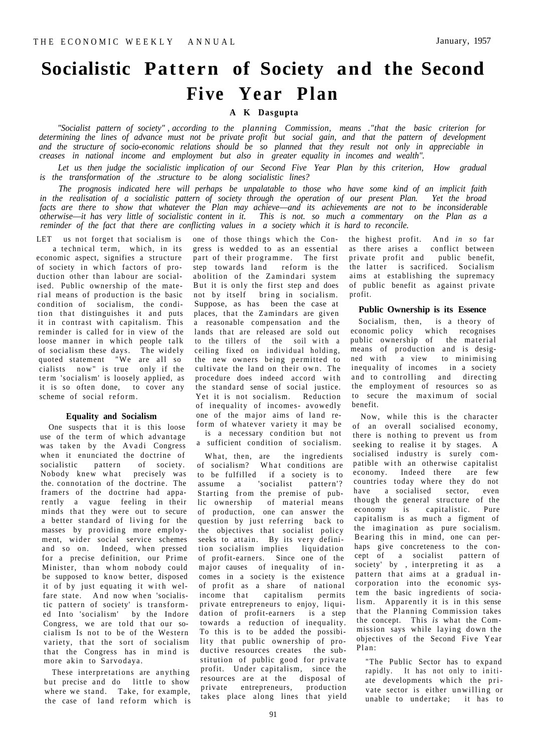# **Socialistic Pattern of Society and the Second Five Year Plan**

# **A K Dasgupta**

*"Socialist pattern of society" , according to the planning Commission, means ."that the basic criterion for*  determining the lines of advance must not be private profit but social gain, and that the pattern of development and the structure of socio-economic relations should be so planned that they result not only in appreciable in *creases in national income and employment but also in greater equality in incomes and wealth".* 

*Let us then judge the socialistic implication of our Second Five Year Plan by this criterion, How gradual is the transformation of the .structure to be along socialistic lines?* 

*The prognosis indicated here will perhaps be unpalatable to those who have some kind of an implicit faith*  in the realisation of a socialistic pattern of society through the operation of our present Plan. Yet the broad facts are there to show that whatever the Plan may achieve—and its achievements are not to be inconsiderable *otherwise*—*it has very little of socialistic content in it. This is not. so much a commentary on the Plan as a reminder of the fact that there are conflicting values in a society which it is hard to reconcile.* 

LET us not forget that socialism is

a technical term, which, in its economic aspect, signifies a structure of society in which factors of production other than labour are socialised. Public ownership of the material means of production is the basic condition of socialism, the condition that distinguishes it and puts it in contrast with capitalism. This reminder is called for in view of the loose manner in which people talk of socialism these days. The widely quoted statement "We are all so cialists now" is true only if the term 'socialism' is loosely applied, as it is so often done, to cover any scheme of social reform.

## **Equality and Socialism**

One suspects that it is this loose use of the term of which advantage was taken by the Avadi Congress when it enunciated the doctrine of socialistic pattern of society. Nobody knew what precisely was the. connotation of the doctrine. The framers of the doctrine had apparently a vague feeling in their minds that they were out to secure a better standard of living for the masses by providing more employment, wider social service schemes and so on. Indeed, when pressed for a precise definition, our Prime Minister, than whom nobody could be supposed to know better, disposed it of by just equating it with welfare state. And now when 'socialistic pattern of society' is transformed Into 'socialism' by the Indore Congress, we are told that our socialism Is not to be of the Western variety, that the sort of socialism that the Congress has in mind is more akin to Sarvodaya.

These interpretations are anything but precise and do little to show where we stand. Take, for example, the case of land reform which is

one of those things which the Congress is wedded to as an essential part of their programme. The first step towards land reform is the abolition of the Zamindari system But it is only the first step and does not by itself bring in socialism. Suppose, as has been the case at places, that the Zamindars are given a reasonable compensation and the lands that are released are sold out to the tillers of the soil with a ceiling fixed on individual holding, the new owners being permitted to cultivate the land on their own. The procedure does indeed accord with the standard sense of social justice. Yet it is not socialism. Reduction of inequality of incomes- avowedly one of the major aims of land reform of whatever variety it may be

is a necessary condition but not a sufficient condition of socialism.

What, then, are the ingredients of socialism? What conditions are to be fulfilled if a society is to assume a 'socialist pattern'? Starting from the premise of public ownership of material means of production, one can answer the question by just referring back to the objectives that socialist policy seeks to attain. By its very definition socialism implies liquidation of profit-earners. Since one of the major causes of inequality of incomes in a society is the existence<br>of profit as a share of national of profit as a share income that capitalism permits private entrepreneurs to enjoy, liquidation of profit-earners is a step towards a reduction of inequality. To this is to be added the possibility that public ownership of productive resources creates the substitution of public good for private profit. Under capitalism, since the resources are at the disposal of private entrepreneurs, production takes place along lines that yield

the highest profit. And in so far as there arises a conflict between private profit and public benefit, the latter is sacrificed. Socialism aims at establishing the supremacy of public benefit as against private profit.

# **Public Ownership is its Essence**

Socialism, then, is a theory of economic policy which recognises public ownership of the material means of production and is designed with a view to minimising inequality of incomes in a society and to controlling and directing the employment of resources so as to secure the maximum of social benefit.

Now, while this is the character of an overall socialised economy, there is nothing to prevent us from seeking to realise it by stages. A socialised industry is surely compatible with an otherwise capitalist economy. Indeed there are few countries today where they do not have a socialised sector, even though the general structure of the economy is capitalistic. Pure capitalism is as much a figment of the imagination as pure socialism. Bearing this in mind, one can perhaps give concreteness to the concept of a socialist pattern of society' by , interpreting it as a pattern that aims at a gradual incorporation into the economic system the basic ingredients of socialism. Apparently it is in this sense that the Planning Commission takes the concept. This *is* what the Commission says while laying down the objectives of the Second Five Year  $P1an$ 

"The Public Sector has to expand rapidly. It has not only to initiate developments which the private sector is either unwilling or unable to undertake; it has to